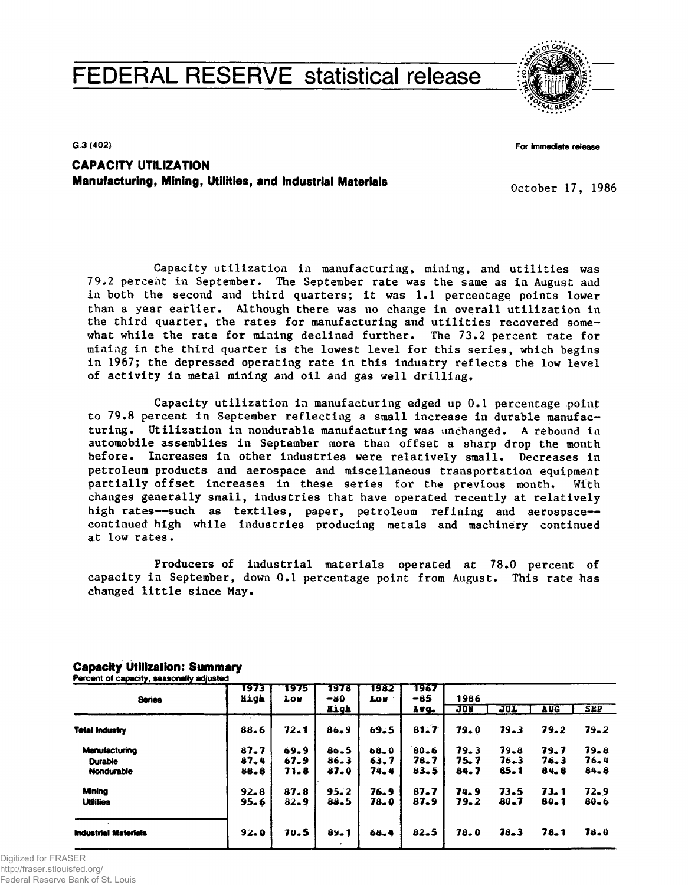# **FEDERAL RESERVE statistical release**



**G.3 (402)**

**For Immediate release**

**CAPACITY UTILIZATION Manufacturing, Mining, Utilities, and Industrial Materials**

**October 17, 1986**

**Capacity utilization in manufacturing, mining, and utilities was 79#2 percent in September. The September rate was the same as in August and in both the second and third quarters; it was 1.1 percentage points lower than a year earlier. Although there was no change in overall utilization in the third quarter, the rates for manufacturing and utilities recovered somewhat while the rate for mining declined further. The 73.2 percent rate for mining in the third quarter is the lowest level for this series, which begins in 1967; the depressed operating rate in this industry reflects the low level of activity in metal mining and oil and gas well drilling.**

**Capacity utilization in manufacturing edged up 0.1 percentage point to 79.8 percent in September reflecting a small increase in durable manufacturing. Utilization in nondurable manufacturing was unchanged. A rebound in automobile assemblies in September more than offset a sharp drop the month before. Increases in other industries were relatively small. Decreases in petroleum products and aerospace and miscellaneous transportation equipment partially offset increases in these series for the previous month. With changes generally small, industries that have operated recently at relatively high rates—such as textiles, paper, petroleum refining and aerospace continued high while industries producing metals and machinery continued at low rates•**

**Producers of industrial materials operated at 78.0 percent of capacity in September, down 0.1 percentage point from August. This rate has changed little since May.**

| <b>Series</b>               | 1973<br>High | 1975<br><b>Lou</b> | 1978<br>$-80$ | 1982<br><b>LOW</b> | 1967<br>-85 | 1986       |            |            |            |  |  |  |
|-----------------------------|--------------|--------------------|---------------|--------------------|-------------|------------|------------|------------|------------|--|--|--|
|                             |              |                    | High          |                    | Avg.        | <b>JUN</b> | <b>JUL</b> | <b>AUG</b> | <b>SEP</b> |  |  |  |
| <b>Total Industry</b>       | 88.6         | 72.1               | $86 - 9$      | 69.5               | 81.7        | 79.0       | 79.3       | 79.2       | 79.2       |  |  |  |
| Manufacturing               | $87 - 7$     | 69.9               | $86 - 5$      | $68 - 0$           | 80.6        | 79.3       | 79.8       | 79.7       | 79.8       |  |  |  |
| <b>Durable</b>              | 87.4         | 67.9               | $86 - 3$      | 63.7               | 78.7        | 75.7       | 76.3       | 76.3       | 76.4       |  |  |  |
| Nondurable                  | 88.8         | 71.8               | 87.0          | 74.4               | $83 - 5$    | 84.7       | 85.1       | 84.8       | 84.8       |  |  |  |
| Minina                      | $92 - 8$     | 87.8               | $95 - 2$      | 76.9               | $87 - 7$    | 74.9       | 73.5       | 73.1       | 72.9       |  |  |  |
| <b>Utilities</b>            | 95.6         | $82 - 9$           | 88.5          | 78.0               | 87.9        | 79.2       | $80 - 7$   | 80.1       | $80 - 6$   |  |  |  |
|                             |              |                    |               |                    |             |            |            |            |            |  |  |  |
| <b>Industrial Materials</b> | 92.0         | 70.5               | $89 - 1$      | $68 - 4$           | $82 - 5$    | 78.0       | $78 - 3$   | 78.1       | 78.0       |  |  |  |

**Capacity Utilization: Summary Percent of capacity, seasonally adjusted**

Digitized for FRASER

http://fraser.stlouisfed.org/ Federal Reserve Bank of St. Louis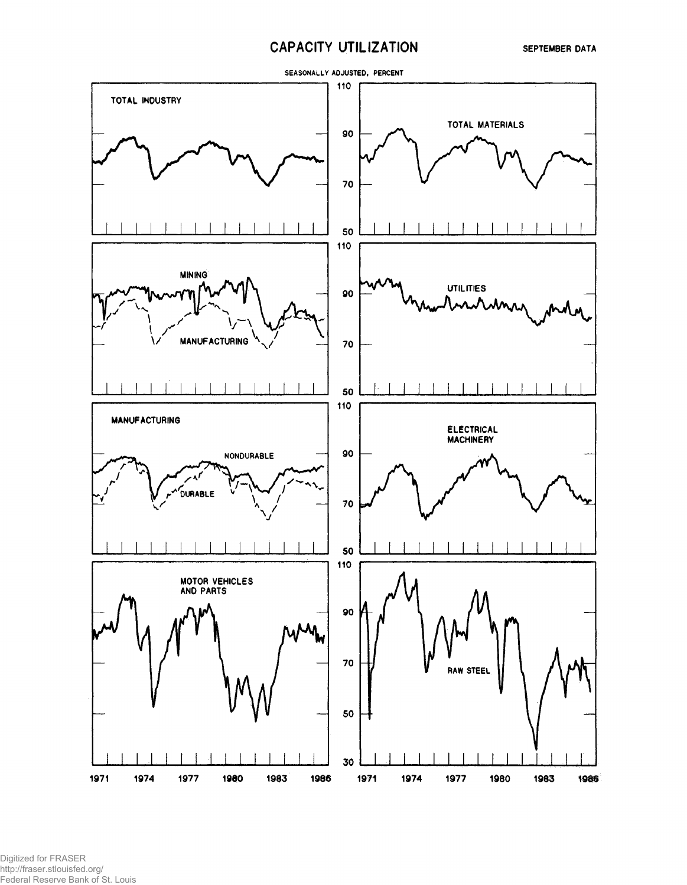# **CAPACITY UTILIZATION**



Digitized for FRASER http://fraser.stlouisfed.org/ Federal Reserve Bank of St. Louis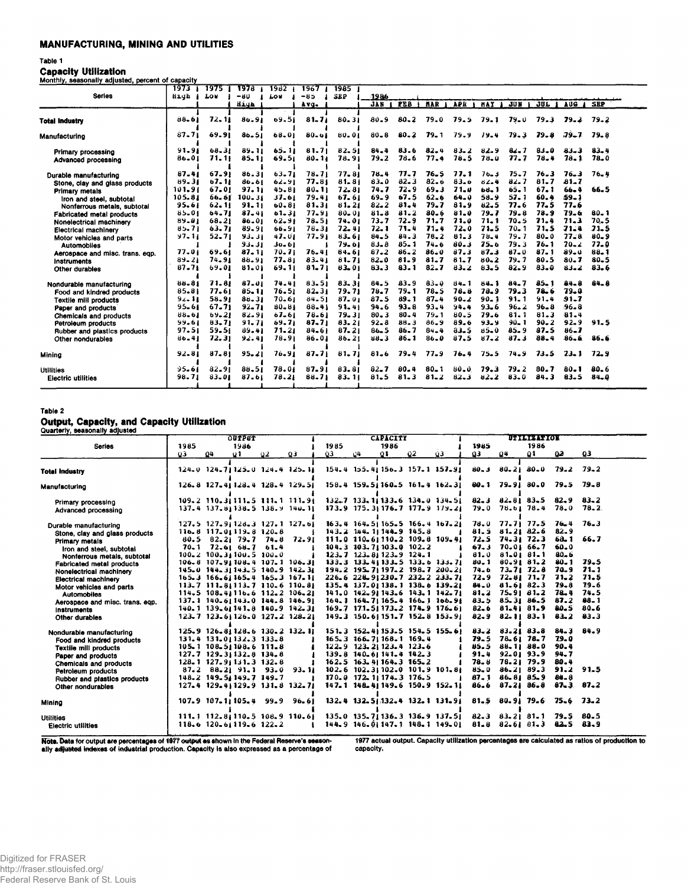# **MANUFACTURING, MINING AND UTILITIES**

# Table 1

**Capacity Utilization** 

| _________ |                                                   |  |  |
|-----------|---------------------------------------------------|--|--|
|           | Monthly, seasonally adjusted, percent of capacity |  |  |

|                                 | 1973      | 1975 T    | 1978       | 1982      | 1967      | 1985       |          |            |            |          |            |          |          |             |            |
|---------------------------------|-----------|-----------|------------|-----------|-----------|------------|----------|------------|------------|----------|------------|----------|----------|-------------|------------|
| <b>Series</b>                   | Hıyh      | LOU       | $-80$      | Lou       | $-85$     | <b>SEP</b> | 1986     |            |            |          |            |          |          |             |            |
|                                 |           |           | iiiya      |           | Avq.      |            | JAN.     | <b>FEB</b> | <b>NAR</b> | APR      | <b>NAY</b> | JU N     | 30T      | AUG A       | <b>SEP</b> |
| <b>Total Industry</b>           | $88 - 61$ | 72.11     | $86 - 91$  | $09 - 51$ | $81 - 71$ | $80 - 31$  | $80 - 9$ | $80 - 2$   | $79 - 0$   | 79.5     | 79.1       | $79 - 0$ | 79.3     | 79.2        | 79.2       |
|                                 |           |           |            |           |           |            |          |            |            |          |            |          |          |             |            |
| Manufacturing                   | $87 - 71$ | 69.91     | $86 - 51$  | 68.01     | $80 - 61$ | 80.01      | $80 - 8$ | $80 - 2$   | $79 - 1$   | 79.9     | 19.4       | 79.3     | 79.8     | <b>79.7</b> | $79 - 8$   |
| Primary processing              | 91.91     | $68 - 31$ | 89.11      | $65 - 11$ | 81.71     | $82 - 51$  | $84 - 4$ | $83 - 6$   | $82 - 4$   | $83 - 2$ | $82 - 9$   | $82 - 7$ | $83 - 0$ | $83 - 3$    | $83 - 4$   |
| Advanced processing             | 86.01     | 71.11     | $85 - 11$  | 69.51     | $80 - 11$ | 78.91      | 79.2     | $78 - 6$   | 77.4       | 78.5     | $78 - 0$   | 77.7     | 78.4     | $78 - 1$    | 78.0       |
| Durable manufacturing           | 87.41     | 67.91     | 86.31      | $63 - 71$ | $78 - 71$ | 77.81      | 78.4     | 77.7       | $76 - 5$   | 77.1     | 76.3       | 75.7     | 76.3     | $76 - 3$    | 76,4       |
| Stone, clay and glass products  | $89 - 31$ | 67, 11    | 86.61      | $62 - 91$ | 77.81     | $81 - 81$  | 83.0     | $82 - 3$   | $82 - 6$   | 83.0     | $82 - 4$   | 82.7     | $81 - 7$ | $81 - 7$    |            |
| <b>Primary metals</b>           | 101.91    | 67.01     | 97.11      | 45.81     | 80.11     | 72.81      | 74.7     | $72 - 9$   | 69.3       | 71.0     | $60-1$     | $65 - 1$ | 67.1     | $66 - 4$    | $66 - 5$   |
| Iron and steel, subtotal        | 105.81    | 66.61     | $100 - 31$ | $37 - 61$ | 79.41     | 67.61      | $69 - 9$ | 67.5       | $62 - 6$   | 64.0     | 58.9       | $57 - 1$ | $60 - 4$ | $59 - 1$    |            |
| Nonferrous metals, subtotal     | 95.61     | $62 - 11$ | 91.11      | $60 - 81$ | 81.31     | $81 - 21$  | $82 - 2$ | 31.4       | 79.7       | 81.9     | 82.5       | 77.6     | 77.5     | 77.6        |            |
| Fabricated metal products       | 85.01     | 64.71     | $87 - 41$  | $61 - 31$ | 77.91     | $80 - 01$  | $81 - 8$ | $81 - 2$   | $80 - 6$   | 81.0     | 79.7       | $79 - 8$ | 78.9     | 79.6        | $80 - 1$   |
| Nonelectrical machinery         | $89 - 01$ | $68 - 21$ | 86.01      | $62 - 91$ | 78.51     | 74.01      | 73.7     | 72.9       | 71.7       | 71.0     | $71 - 1$   | 70.5     | $71 - 4$ | 71.3        | $70 - 5$   |
| <b>Electrical machinery</b>     | 85.71     | 63.71     | 89.91      | 66.91     | $78 - 31$ | 72, 41     | 72.1     | 71.4       | $71 - 4$   | $72 - 0$ | $71 - 5$   | $70 - 1$ | 71.5     | 71.4        | $21 - 5$   |
| Motor vehicles and parts        | 97.11     | $52 - 71$ | 93.31      | 47.01     | 77.91     | 83.61      | $84 - 5$ | 84.3       | $78 - 2$   | $81 - 3$ | 78.4       | 79.7     | $80 - 0$ | 77.8        | $80 - 9$   |
| <b>Automobiles</b>              |           |           | 93.31      | $30 - 61$ |           | 79.61      | $8J - 8$ | $85 - 1$   | 74.6       | 80.3     | $75 - 6$   | 79.3     | $76 - 1$ | $70 - 2$    | 77.0       |
| Aerospace and misc. trans. eqp. | 77.01     | 69.61     | $87 - 11$  | $70 - 71$ | 76.41     | 84.61      | 87.2     | $86 - 2$   | 86.0       | 87.3     | $87 - 3$   | $87 - 0$ | 87.1     | $89 - 0$    | $88 - 1$   |
| instruments                     | $89 - 21$ | 74.91     | 88.91      | 77.81     | 83.41     | $81 - 71$  | $82 - 0$ | 81.9       | $81 - 7$   | $81 - 7$ | $80 - 2$   | 79.7     | 80.5     | $80 - 7$    | $80 - 5$   |
| Other durables                  | $87 - 71$ | 69.01     | 81.01      | 69.11     | $81 - 71$ | 83.01      | 83.3     | $83 - 1$   | $82 - 7$   | $83 - 2$ | $83 - 5$   | $82 - 9$ | $83 - 0$ | 83.2        | $83 - 6$   |
| Nondurable manufacturing        | 88.81     | 71.81     | 87.01      | $74 - 41$ | 83.51     | $83 - 31$  | 84.5     | $83 - 9$   | $83 - 0$   | $84 - 1$ | $84 - 1$   | $84 - 7$ | $85 - 1$ | 84.8        | $64 - 8$   |
| Food and kindred products       | 85.81     | 77.61     | 85.11      | $76 - 51$ | $82 - 31$ | 79.71      | 70.7     | 79.1       | 78.5       | 78.8     | 78.9       | 79.3     | 78.6     | $79 - 0$    |            |
| <b>Textile mill products</b>    | $94 - 11$ | 58.91     | $88 - 31$  | $70 - 61$ | 84.51     | $87 - 01$  | 87.5     | $89 - 1$   | $87 - 4$   | $90 - 2$ | $90 - 1$   | $91 - 1$ | $91 - 4$ | $31 - 7$    |            |
| Paper and products              | 95.61     | $67 - 71$ | $92 - 71$  | 80.81     | 88.41     | 91.41      | 94.6     | 93.8       | $93 - 4$   | 94.4     | $93 - 6$   | $96 - 2$ | $96 - 8$ | 96.8        |            |
| <b>Chemicals and products</b>   | 88.61     | $69 - 21$ | $82 - 91$  | $67 - 61$ | 78.61     | $79 - 31$  | $80 - 3$ | $80 - 4$   | $79 - 1$   | 80.5     | 79.6       | 81.1     | 81.3     | 81.4        |            |
| Petroleum products              | 99.61     | 83, 71    | 91, 71     | 69,71     | $87 - 71$ | 83.21      | $92 - 8$ | $88 - 3$   | $86 - 9$   | 89.6     | $93 - 9$   | $90 - 1$ | $90 - 2$ | $92 - 9$    | $91 - 5$   |
| Rubber and plastics products    | 97.51     | $59 - 51$ | 89.41      | 71.21     | $84 - 61$ | $87 - 21$  | $86 - 5$ | 86.7       | $84 - 4$   | $33 - 5$ | 85.0       | $85 - 9$ | 87.5     | $86 - 7$    |            |
| Other nondurables               | $86 - 41$ | 72.31     | 92.41      | $78 - 91$ | $86 - 01$ | $86 - 21$  | $88 - 3$ | $86 - 1$   | $86 - 0$   | 87.5     | 87.2       | 87.3     | 88.4     | $86 - 6$    | 86.6       |
| Mining                          | $92 - 81$ | $87 - 81$ | $95 - 21$  | 76.91     | $87 - 71$ | 81.71      | $81 - 6$ | 79.4       | 77.9       | 76.4     | $75 - 5$   | 74.9     | 73.5     | $23 - 1$    | 72.9       |
| <b>Utilities</b>                | $95 - 61$ | $82 - 91$ | $88 - 51$  | 78.01     | 87.91     | 83.81      | $82 - 7$ | $80 - 4$   | $80 - 1$   | 80.0     | 79.3       | 79.2     | $80 - 7$ | 80.1        | 80.6       |
| <b>Electric utilities</b>       | 98.71     | 83.01     | 87.61      | 78.21     | 88.71     | 83.11      | $81 - 5$ | $81 - 3$   | $81 - 2$   | $82 - 3$ | 82.2       | $83 - 0$ | 84.3     | 83.5        | $84 - 0$   |
|                                 |           |           |            |           |           |            |          |            |            |          |            |          |          |             |            |

## Table 2

Output, Capacity, and Capacity Utilization<br>Quarterly, seasonally adjusted

|                                                                                                             | <b>OUTPUT</b> |                                                                                             |               |     |                                                                                                      |      |                                                          | <b>CAPACITY</b> |                                                                                                 |                                                                                                    |                              | UTILIZATION           |                                                                   |                                               |                          |
|-------------------------------------------------------------------------------------------------------------|---------------|---------------------------------------------------------------------------------------------|---------------|-----|------------------------------------------------------------------------------------------------------|------|----------------------------------------------------------|-----------------|-------------------------------------------------------------------------------------------------|----------------------------------------------------------------------------------------------------|------------------------------|-----------------------|-------------------------------------------------------------------|-----------------------------------------------|--------------------------|
| <b>Series</b>                                                                                               | 1985          |                                                                                             | 1986          |     |                                                                                                      | 1985 |                                                          | 1986            |                                                                                                 |                                                                                                    | 1985                         |                       | 1986                                                              |                                               |                          |
|                                                                                                             | 03.           | -04                                                                                         | 01            | -92 | 03                                                                                                   | Q3   | -04                                                      | Q1              | 02                                                                                              | Q3                                                                                                 | Q3                           | 04                    | Ω1                                                                | 02                                            | 03                       |
| Total Industry                                                                                              |               |                                                                                             |               |     | 124-0 124-71125-0 124-4 125-11                                                                       |      |                                                          |                 |                                                                                                 | 154.4 155.41 156.3 157.1 157.91                                                                    | $80 - 3$                     |                       | 80.21 80.0                                                        | 79.2                                          | - 79.2                   |
| Manufacturing                                                                                               |               |                                                                                             |               |     | 126.8 127.41128.4 128.4 129.51                                                                       |      |                                                          |                 |                                                                                                 | 158.4 159.51160.5 161.4 162.31                                                                     | 80.1                         |                       | 79.91 80.0                                                        | 79.5                                          | 79.8                     |
| Primary processing<br>Advanced processing                                                                   |               |                                                                                             |               |     | 109-2 110-31111-5 111-1 111-91<br>$137.4$ $137.8$ $138.5$ $138.9$ $140.1$                            |      |                                                          |                 |                                                                                                 | 132.7 133.11133.6 134.0 134.51<br>173.9 175.31 176.7 177.9 179.21                                  |                              | $79.0$ $78.61$ $78.4$ | $82 - 3$ $82 - 81$ $83 - 5$                                       | $82 - 9$<br>$78 - 0$                          | $83 - 2$<br>$78 - 2$     |
| Durable manufacturing<br>Stone, clay and glass products                                                     |               | $116.8$ $117.01119.8$ $120.8$<br>$80.5$ $82.2$ , $79.7$ $74.8$                              |               |     | $127.5$ $127.9$ $128.3$ $127.1$ $127.6$<br>72.91                                                     |      |                                                          |                 | 143.2 144.11144.9 145.8                                                                         | 163.4 164.51165.5 166.4 167.21<br>111.0 110.61110.2 109.8 109.41                                   | 81.5<br>72.5                 | $78.0$ $77.71$ $77.5$ | 81.21 82.6<br>$74.31$ $72.3$                                      | $76 - 4$<br>82.9<br>68.1                      | $76-3$<br>66.7           |
| Primary metals<br>Iron and steel, subtotal<br>Nonferrous metals, subtotal                                   | $70 - 1$      | $100.2$ $100.31100.5$ $100.0$                                                               | 72.6168.761.4 |     | $106.8$ $107.91108.4$ $107.1$ $106.31$                                                               |      |                                                          |                 | 104.3 103.71103.0 102.2<br>123.7 123.81123.9 124.1                                              | $133.3$ $133.41133.5$ $133.6$ $133.71$                                                             | 67.3<br>81.0<br>$80 - 1$     |                       | 70.01 66.7<br>$81 - 0181 - 1$<br>80.9181.2                        | 60.0<br>$80 - 6$<br>80.1                      | $79 - 5$                 |
| <b>Fabricated metal products</b><br>Nonelectrical machinery<br><b>Electrical machinery</b>                  |               |                                                                                             |               |     | 145.0 144.31143.5 140.9 142.31<br>$165.3$ $166.61165.4$ $165.3$ $167.11$                             |      |                                                          |                 |                                                                                                 | 194.2 195.71197.2 198.7 200.21<br>226.6 228.91230.7 232.2 233.71                                   | $74 - 6$<br>72.9             |                       | $73 - 71$ $72 - 8$<br>$72.81$ $71.7$                              | 70.9<br>$71 - 2$<br>$79 - 8$                  | $71 - 1$<br>71.5<br>79.6 |
| Motor vehicles and parts<br><b>Automobiles</b><br>Aerospace and misc. trans. eqp.                           |               |                                                                                             |               |     | 113.7 111.81113.7 110.6 110.81<br>$114.5$ 108.41116.6 112.2 106.21<br>137.1 140.61143.0 144.8 146.91 |      |                                                          |                 |                                                                                                 | 135.4 137.01138.1 138.6 139.21<br>141.0 142.91143.6 143.1 142.71<br>164.1 164.7:165.4 166.1 166.91 | 84.0<br>$81 - 2$<br>83.5     |                       | 81.6182.3<br>75.9181.2<br>85.3186.5                               | 78.4<br>87.2                                  | 74.5<br>$88 - 1$         |
| Instruments<br>Other durables                                                                               |               |                                                                                             |               |     | 140.1 139.61141.8 140.9 142.31<br>123.7 123.61126.0 127.2 128.21                                     |      |                                                          |                 |                                                                                                 | 169.7 171.5  173.2 174.9 176.6 <br>149-3 150-61151-7 152-8 153-91                                  | $82 - 6$<br>$82 - 9$         |                       | 81.4181.9<br>$82.11$ $83.1$                                       | $80 - 5$<br>$83 - 2$                          | $80 - 6$<br>83.3         |
| Nondurable manufacturing<br>Food and kindred products<br><b>Textile mill products</b><br>Paper and products |               | 131.4 131.01132.3 133.8<br>$105.1$ $108.51198.6$ $111.8$<br>$127.7$ $129.3$ $132.8$ $134.8$ |               |     | 125.9 126.8 128.6 130.2 132.1                                                                        |      |                                                          |                 | $165.3$ $166.71168.1$ $169.4$<br>$122 - 9$ $123 - 21123 - 4123 - 6$<br>139.8 140.61 141.4 142.3 | 151.3 152.41153.5 154.5 155.61                                                                     | 83.2<br>79.5<br>85.5<br>91.4 |                       | $83.21$ $83.3$<br>78.61 78.7<br>88.11 88.0<br>92.01 93.9          | $84 - 3$<br>79.0<br>90.4<br>94.7              | 84.9                     |
| Chemicals and products<br>Petroleum products<br>Rubber and plastics products<br>Other nondurables           |               | $128 - 1$ $127 - 91131 - 3132 - 8$<br>148.2 149.51149.7 149.7                               |               |     | $87.2$ $88.2$ $91.1$ $93.0$ $93.1$<br>$127 - 4$ $129 - 41129 - 9$ $131 - 8$ $132 - 71$               |      | $162.5$ $163.41164.3$ $165.2$<br>170.0 172.11174.3 176.5 |                 |                                                                                                 | 102.6 102.31102.0 101.9 101.81<br>147.1 148.41149.6 150.9 152.11                                   | 78.8<br>85.0<br>87.1<br>86.6 |                       | $78.21$ $79.9$<br>$86 - 2189 - 3$<br>86.81 85.9<br>$87 - 21$ 86-8 | $80 - 4$<br>91.2<br>84.8<br>$87 - 3$ $87 - 2$ | 91.5                     |
| Mining                                                                                                      |               |                                                                                             |               |     | $107 - 9$ $107 - 11$ $105 - 4$ $99 - 9$ $96 - 61$                                                    |      |                                                          |                 |                                                                                                 | $132.4$ $132.51.132.4$ $132.1$ $131.91$                                                            | 81.5                         |                       | 80.9179.6                                                         | $75 - 6$ $73 - 2$                             |                          |
| Utilities<br><b>Electric utilities</b>                                                                      |               | 118.6 120.6:119.6 122.2                                                                     |               |     | 111.1 112.8;110.5 108.9 110.6;                                                                       |      |                                                          |                 |                                                                                                 | $135.0$ $135.71136.3$ $136.9$ $137.51$<br>144.9 146.01147.1 148.1 149.01                           |                              |                       | $82.3$ $83.2$ $81.1$ $79.5$ $80.5$<br>$81.8$ $82.61$ $81.3$       | 82.5                                          | 83.9                     |

Note. Data for output are percentages of 1977 output as shown in the Federal Reserve's season-<br>ally adjusted indexes of industrial production. Capacity is also expressed as a percentage of

1977 actual output. Capacity utilization percentages are calculated as ratios of production to capacity.